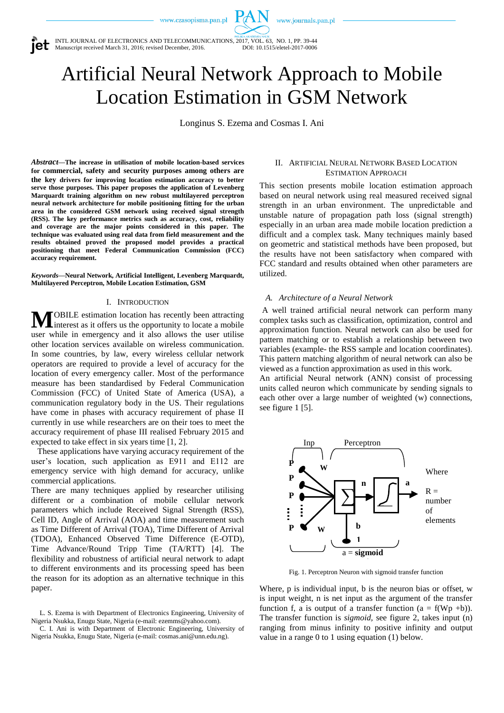www.czasopisma.pan.pl

www.journals.pan.pl



INTL JOURNAL OF ELECTRONICS AND TELECOMMUNICATIONS, 2017, VOL. 63, NO. 1, PP. 39-44<br>Manuscript received March 31. 2016: revised December. 2016. [2017] DOI: 10.1515/eletel-2017-0006 Manuscript received March 31, 2016; revised December, 2016.

# Artificial Neural Network Approach to Mobile Location Estimation in GSM Network

Longinus S. Ezema and Cosmas I. Ani

*Abstract***—The increase in utilisation of mobile location-based services for commercial, safety and security purposes among others are the key drivers for improving location estimation accuracy to better serve those purposes. This paper proposes the application of Levenberg Marquardt training algorithm on new robust multilayered perceptron neural network architecture for mobile positioning fitting for the urban area in the considered GSM network using received signal strength (RSS). The key performance metrics such as accuracy, cost, reliability and coverage are the major points considered in this paper. The technique was evaluated using real data from field measurement and the results obtained proved the proposed model provides a practical positioning that meet Federal Communication Commission (FCC) accuracy requirement.** 

*Keywords***—Neural Network, Artificial Intelligent, Levenberg Marquardt, Multilayered Perceptron, Mobile Location Estimation, GSM**

## I. INTRODUCTION

OBILE estimation location has recently been attracting interest as it offers us the opportunity to locate a mobile user while in emergency and it also allows the user utilise other location services available on wireless communication. In some countries, by law, every wireless cellular network operators are required to provide a level of accuracy for the location of every emergency caller. Most of the performance measure has been standardised by Federal Communication Commission (FCC) of United State of America (USA), a communication regulatory body in the US. Their regulations have come in phases with accuracy requirement of phase II currently in use while researchers are on their toes to meet the accuracy requirement of phase III realised February 2015 and expected to take effect in six years time [1, 2]. **M**

 These applications have varying accuracy requirement of the user's location, such application as E911 and E112 are emergency service with high demand for accuracy, unlike commercial applications.

There are many techniques applied by researcher utilising different or a combination of mobile cellular network parameters which include Received Signal Strength (RSS), Cell ID, Angle of Arrival (AOA) and time measurement such as Time Different of Arrival (TOA), Time Different of Arrival (TDOA), Enhanced Observed Time Difference (E-OTD), Time Advance/Round Tripp Time (TA/RTT) [4]. The flexibility and robustness of artificial neural network to adapt to different environments and its processing speed has been the reason for its adoption as an alternative technique in this paper.

C. I. Ani is with Department of Electronic Engineering, University of Nigeria Nsukka, Enugu State, Nigeria (e-mail: cosmas.ani@unn.edu.ng).

# II. ARTIFICIAL NEURAL NETWORK BASED LOCATION ESTIMATION APPROACH

This section presents mobile location estimation approach based on neural network using real measured received signal strength in an urban environment. The unpredictable and unstable nature of propagation path loss (signal strength) especially in an urban area made mobile location prediction a difficult and a complex task. Many techniques mainly based on geometric and statistical methods have been proposed, but the results have not been satisfactory when compared with FCC standard and results obtained when other parameters are utilized.

#### *A. Architecture of a Neural Network*

A well trained artificial neural network can perform many complex tasks such as classification, optimization, control and approximation function. Neural network can also be used for pattern matching or to establish a relationship between two variables (example- the RSS sample and location coordinates). This pattern matching algorithm of neural network can also be viewed as a function approximation as used in this work.

An artificial Neural network (ANN) consist of processing units called neuron which communicate by sending signals to each other over a large number of weighted (w) connections, see figure 1 [5].



Fig. 1. Perceptron Neuron with sigmoid transfer function

Where, p is individual input, b is the neuron bias or offset, w is input weight, n is net input as the argument of the transfer function f, a is output of a transfer function  $(a = f(Wp + b))$ . The transfer function is *sigmoid,* see figure 2, takes input (n) ranging from minus infinity to positive infinity and output value in a range 0 to 1 using equation (1) below.

L. S. Ezema is with Department of Electronics Engineering, University of Nigeria Nsukka, Enugu State, Nigeria (e-mail: ezemms@yahoo.com).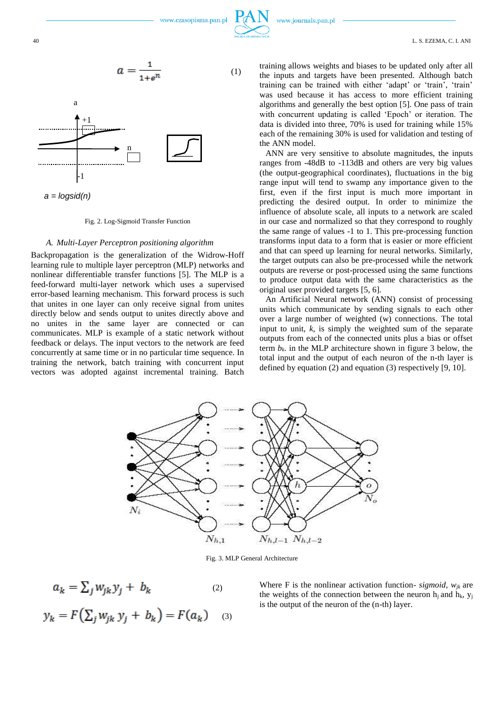

$$
a = \frac{1}{1 + e^n} \tag{1}
$$



#### Fig. 2. Log-Sigmoid Transfer Function

## *A. Multi-Layer Perceptron positioning algorithm*

Backpropagation is the generalization of the Widrow-Hoff learning rule to multiple layer perceptron (MLP) networks and nonlinear differentiable transfer functions [5]. The MLP is a feed-forward multi-layer network which uses a supervised error-based learning mechanism. This forward process is such that unites in one layer can only receive signal from unites directly below and sends output to unites directly above and no unites in the same layer are connected or can communicates. MLP is example of a static network without feedback or delays. The input vectors to the network are feed concurrently at same time or in no particular time sequence. In training the network, batch training with concurrent input vectors was adopted against incremental training. Batch training allows weights and biases to be updated only after all the inputs and targets have been presented. Although batch training can be trained with either 'adapt' or 'train', 'train' was used because it has access to more efficient training algorithms and generally the best option [5]. One pass of train with concurrent updating is called 'Epoch' or iteration. The data is divided into three, 70% is used for training while 15% each of the remaining 30% is used for validation and testing of the ANN model.

ANN are very sensitive to absolute magnitudes, the inputs ranges from -48dB to -113dB and others are very big values (the output-geographical coordinates), fluctuations in the big range input will tend to swamp any importance given to the first, even if the first input is much more important in predicting the desired output. In order to minimize the influence of absolute scale, all inputs to a network are scaled in our case and normalized so that they correspond to roughly the same range of values -1 to 1. This pre-processing function transforms input data to a form that is easier or more efficient and that can speed up learning for neural networks. Similarly, the target outputs can also be pre-processed while the network outputs are reverse or post-processed using the same functions to produce output data with the same characteristics as the original user provided targets [5, 6].

An Artificial Neural network (ANN) consist of processing units which communicate by sending signals to each other over a large number of weighted (w) connections. The total input to unit, *k,* is simply the weighted sum of the separate outputs from each of the connected units plus a bias or offset term  $b_k$ . in the MLP architecture shown in figure 3 below, the total input and the output of each neuron of the n-th layer is defined by equation (2) and equation (3) respectively [9, 10].



Fig. 3. MLP General Architecture

$$
a_k = \sum_j w_{jk} y_j + b_k
$$
  
\n
$$
y_k = F\left(\sum_j w_{jk} y_j + b_k\right) = F(a_k)
$$
  
\n(3)

Where F is the nonlinear activation function- *sigmoid*,  $w_{jk}$  are the weights of the connection between the neuron  $h_i$  and  $h_k$ ,  $y_i$ is the output of the neuron of the (n-th) layer.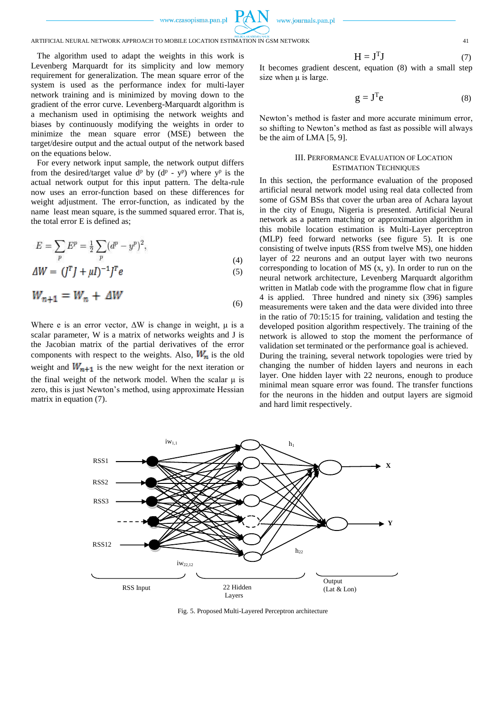www.czasopisma.pan.pl



# ARTIFICIAL NEURAL NETWORK APPROACH TO MOBILE LOCATION ESTIMATION IN GSM NETWORK 41

The algorithm used to adapt the weights in this work is Levenberg Marquardt for its simplicity and low memory requirement for generalization. The mean square error of the system is used as the performance index for multi-layer network training and is minimized by moving down to the gradient of the error curve. Levenberg-Marquardt algorithm is a mechanism used in optimising the network weights and biases by continuously modifying the weights in order to minimize the mean square error (MSE) between the target/desire output and the actual output of the network based on the equations below.

For every network input sample, the network output differs from the desired/target value  $d^p$  by  $(d^p - y^p)$  where  $y^p$  is the actual network output for this input pattern. The delta-rule now uses an error-function based on these differences for weight adjustment. The error-function, as indicated by the name least mean square, is the summed squared error. That is, the total error E is defined as;

$$
E = \sum_{p} E^{p} = \frac{1}{2} \sum_{p} (d^{p} - y^{p})^{2},
$$
\n(4)

$$
\Delta W = (J^T J + \mu I)^{-1} J^T e \tag{5}
$$

$$
W_{n+1} = W_n + \Delta W \tag{6}
$$

Where e is an error vector,  $\Delta W$  is change in weight,  $\mu$  is a scalar parameter, W is a matrix of networks weights and J is the Jacobian matrix of the partial derivatives of the error components with respect to the weights. Also,  $W_n$  is the old weight and  $W_{n+1}$  is the new weight for the next iteration or the final weight of the network model. When the scalar  $\mu$  is zero, this is just Newton's method, using approximate Hessian matrix in equation (7).

$$
H = JTJ
$$
 (7)

It becomes gradient descent, equation (8) with a small step size when  $\mu$  is large.

$$
g = JTe
$$
 (8)

Newton's method is faster and more accurate minimum error, so shifting to Newton's method as fast as possible will always be the aim of LMA [5, 9].

## III. PERFORMANCE EVALUATION OF LOCATION ESTIMATION TECHNIQUES

In this section, the performance evaluation of the proposed artificial neural network model using real data collected from some of GSM BSs that cover the urban area of Achara layout in the city of Enugu, Nigeria is presented. Artificial Neural network as a pattern matching or approximation algorithm in this mobile location estimation is Multi-Layer perceptron (MLP) feed forward networks (see figure 5). It is one consisting of twelve inputs (RSS from twelve MS), one hidden layer of 22 neurons and an output layer with two neurons corresponding to location of MS (x, y). In order to run on the neural network architecture, Levenberg Marquardt algorithm written in Matlab code with the programme flow chat in figure 4 is applied. Three hundred and ninety six (396) samples measurements were taken and the data were divided into three in the ratio of 70:15:15 for training, validation and testing the developed position algorithm respectively. The training of the network is allowed to stop the moment the performance of validation set terminated or the performance goal is achieved. During the training, several network topologies were tried by changing the number of hidden layers and neurons in each layer. One hidden layer with 22 neurons, enough to produce minimal mean square error was found. The transfer functions for the neurons in the hidden and output layers are sigmoid and hard limit respectively.



Fig. 5. Proposed Multi-Layered Perceptron architecture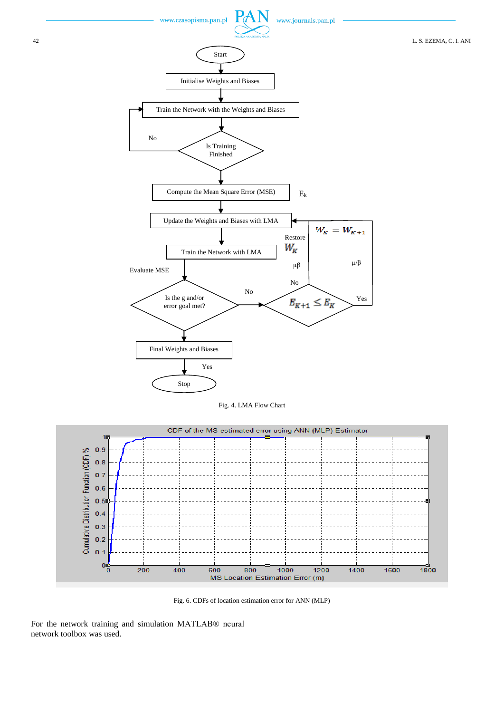

Fig. 4. LMA Flow Chart



Fig. 6. CDFs of location estimation error for ANN (MLP)

For the network training and simulation MATLAB® neural network toolbox was used.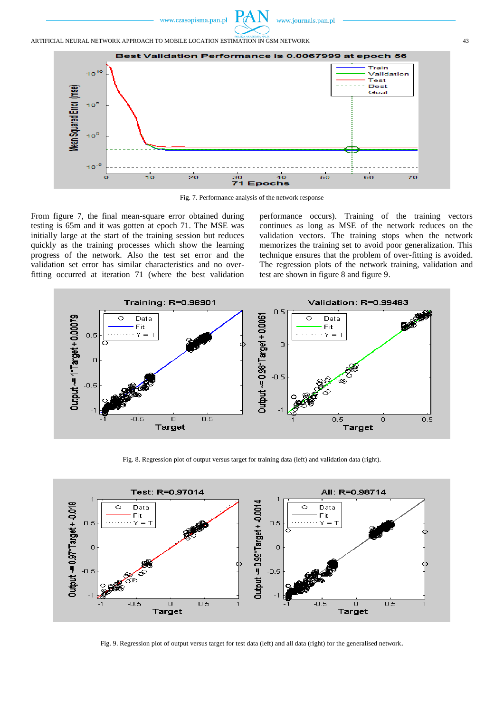

www.journals.pan.pl



Fig. 7. Performance analysis of the network response

From figure 7, the final mean-square error obtained during testing is 65m and it was gotten at epoch 71. The MSE was initially large at the start of the training session but reduces quickly as the training processes which show the learning progress of the network. Also the test set error and the validation set error has similar characteristics and no overfitting occurred at iteration 71 (where the best validation performance occurs). Training of the training vectors continues as long as MSE of the network reduces on the validation vectors. The training stops when the network memorizes the training set to avoid poor generalization. This technique ensures that the problem of over-fitting is avoided. The regression plots of the network training, validation and test are shown in figure 8 and figure 9.



Fig. 8. Regression plot of output versus target for training data (left) and validation data (right).



Fig. 9. Regression plot of output versus target for test data (left) and all data (right) for the generalised network.